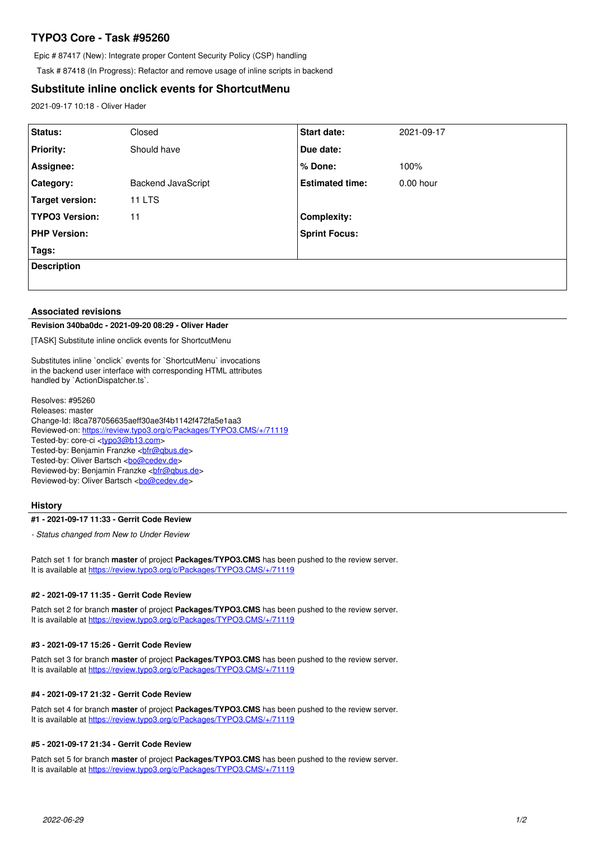# **TYPO3 Core - Task #95260**

Epic # 87417 (New): Integrate proper Content Security Policy (CSP) handling

Task # 87418 (In Progress): Refactor and remove usage of inline scripts in backend

## **Substitute inline onclick events for ShortcutMenu**

2021-09-17 10:18 - Oliver Hader

| Status:               | Closed             | <b>Start date:</b>     | 2021-09-17  |
|-----------------------|--------------------|------------------------|-------------|
| <b>Priority:</b>      | Should have        | Due date:              |             |
| Assignee:             |                    | % Done:                | 100%        |
| Category:             | Backend JavaScript | <b>Estimated time:</b> | $0.00$ hour |
| Target version:       | 11 LTS             |                        |             |
| <b>TYPO3 Version:</b> | 11                 | <b>Complexity:</b>     |             |
| <b>PHP Version:</b>   |                    | <b>Sprint Focus:</b>   |             |
| Tags:                 |                    |                        |             |
| <b>Description</b>    |                    |                        |             |
|                       |                    |                        |             |

#### **Associated revisions**

#### **Revision 340ba0dc - 2021-09-20 08:29 - Oliver Hader**

[TASK] Substitute inline onclick events for ShortcutMenu

Substitutes inline `onclick` events for `ShortcutMenu` invocations in the backend user interface with corresponding HTML attributes handled by `ActionDispatcher.ts`.

Resolves: #95260 Releases: master Change-Id: I8ca787056635aeff30ae3f4b1142f472fa5e1aa3 Reviewed-on:<https://review.typo3.org/c/Packages/TYPO3.CMS/+/71119> Tested-by: core-ci [<typo3@b13.com](mailto:typo3@b13.com)> Tested-by: Benjamin Franzke <br />
chimes.de> Tested-by: Oliver Bartsch <br/> <br/> <br/> <br/> <br/>Condev.de> Reviewed-by: Benjamin Franzke [<bfr@qbus.de](mailto:bfr@qbus.de)> Reviewed-by: Oliver Bartsch <br/> <br/> <br/> <br/> <br/>Cedev.de>

## **History**

#### **#1 - 2021-09-17 11:33 - Gerrit Code Review**

*- Status changed from New to Under Review*

Patch set 1 for branch **master** of project **Packages/TYPO3.CMS** has been pushed to the review server. It is available at <https://review.typo3.org/c/Packages/TYPO3.CMS/+/71119>

## **#2 - 2021-09-17 11:35 - Gerrit Code Review**

Patch set 2 for branch **master** of project **Packages/TYPO3.CMS** has been pushed to the review server. It is available at <https://review.typo3.org/c/Packages/TYPO3.CMS/+/71119>

#### **#3 - 2021-09-17 15:26 - Gerrit Code Review**

Patch set 3 for branch **master** of project **Packages/TYPO3.CMS** has been pushed to the review server. It is available at <https://review.typo3.org/c/Packages/TYPO3.CMS/+/71119>

## **#4 - 2021-09-17 21:32 - Gerrit Code Review**

Patch set 4 for branch **master** of project **Packages/TYPO3.CMS** has been pushed to the review server. It is available at <https://review.typo3.org/c/Packages/TYPO3.CMS/+/71119>

#### **#5 - 2021-09-17 21:34 - Gerrit Code Review**

Patch set 5 for branch **master** of project **Packages/TYPO3.CMS** has been pushed to the review server. It is available at <https://review.typo3.org/c/Packages/TYPO3.CMS/+/71119>